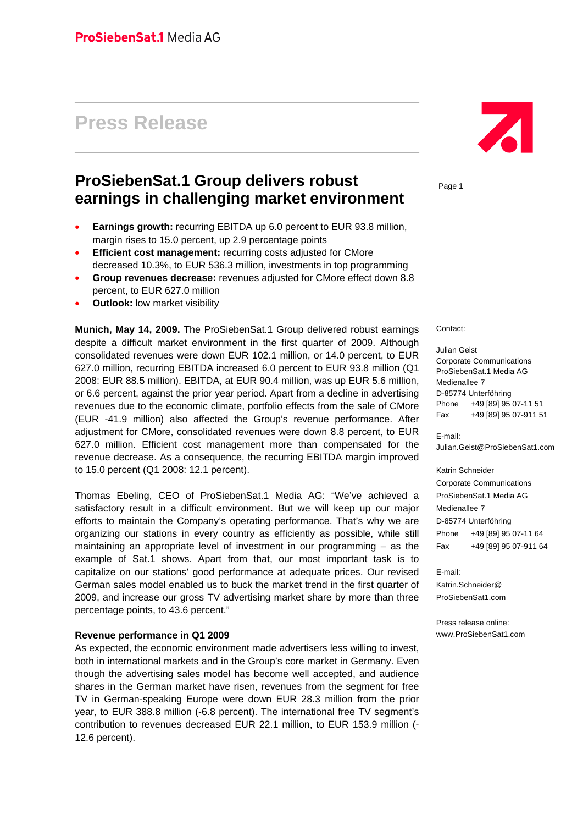# **Press Release**

# **ProSiebenSat.1 Group delivers robust earnings in challenging market environment**

- **Earnings growth:** recurring EBITDA up 6.0 percent to EUR 93.8 million, margin rises to 15.0 percent, up 2.9 percentage points
- **Efficient cost management:** recurring costs adjusted for CMore decreased 10.3%, to EUR 536.3 million, investments in top programming
- **Group revenues decrease:** revenues adjusted for CMore effect down 8.8 percent, to EUR 627.0 million
- **Outlook:** low market visibility

**Munich, May 14, 2009.** The ProSiebenSat.1 Group delivered robust earnings despite a difficult market environment in the first quarter of 2009. Although consolidated revenues were down EUR 102.1 million, or 14.0 percent, to EUR 627.0 million, recurring EBITDA increased 6.0 percent to EUR 93.8 million (Q1 2008: EUR 88.5 million). EBITDA, at EUR 90.4 million, was up EUR 5.6 million, or 6.6 percent, against the prior year period. Apart from a decline in advertising revenues due to the economic climate, portfolio effects from the sale of CMore (EUR -41.9 million) also affected the Group's revenue performance. After adjustment for CMore, consolidated revenues were down 8.8 percent, to EUR 627.0 million. Efficient cost management more than compensated for the revenue decrease. As a consequence, the recurring EBITDA margin improved to 15.0 percent (Q1 2008: 12.1 percent).

Thomas Ebeling, CEO of ProSiebenSat.1 Media AG: "We've achieved a satisfactory result in a difficult environment. But we will keep up our major efforts to maintain the Company's operating performance. That's why we are organizing our stations in every country as efficiently as possible, while still maintaining an appropriate level of investment in our programming – as the example of Sat.1 shows. Apart from that, our most important task is to capitalize on our stations' good performance at adequate prices. Our revised German sales model enabled us to buck the market trend in the first quarter of 2009, and increase our gross TV advertising market share by more than three percentage points, to 43.6 percent."

#### **Revenue performance in Q1 2009**

As expected, the economic environment made advertisers less willing to invest, both in international markets and in the Group's core market in Germany. Even though the advertising sales model has become well accepted, and audience shares in the German market have risen, revenues from the segment for free TV in German-speaking Europe were down EUR 28.3 million from the prior year, to EUR 388.8 million (-6.8 percent). The international free TV segment's contribution to revenues decreased EUR 22.1 million, to EUR 153.9 million (- 12.6 percent).



Page 1

Contact:

Julian Geist Corporate Communications ProSiebenSat.1 Media AG Medienallee 7 D-85774 Unterföhring Phone +49 [89] 95 07-11 51 Fax +49 [89] 95 07-911 51

E-mail: Julian.Geist@ProSiebenSat1.com

Katrin Schneider Corporate Communications ProSiebenSat.1 Media AG Medienallee 7 D-85774 Unterföhring Phone +49 [89] 95 07-11 64 Fax +49 [89] 95 07-911 64

E-mail: Katrin.Schneider@ ProSiebenSat1.com

Press release online: www.ProSiebenSat1.com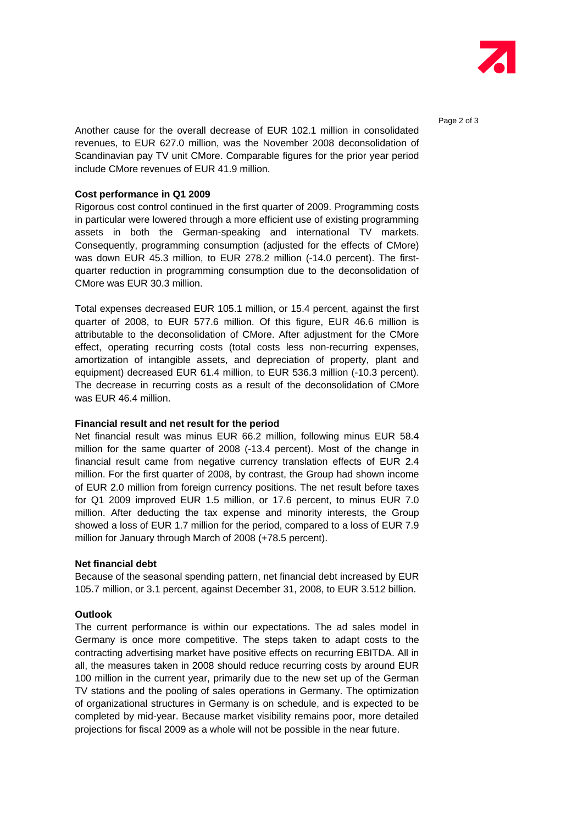

Page 2 of 3

Another cause for the overall decrease of EUR 102.1 million in consolidated revenues, to EUR 627.0 million, was the November 2008 deconsolidation of Scandinavian pay TV unit CMore. Comparable figures for the prior year period include CMore revenues of EUR 41.9 million.

#### **Cost performance in Q1 2009**

Rigorous cost control continued in the first quarter of 2009. Programming costs in particular were lowered through a more efficient use of existing programming assets in both the German-speaking and international TV markets. Consequently, programming consumption (adjusted for the effects of CMore) was down EUR 45.3 million, to EUR 278.2 million (-14.0 percent). The firstquarter reduction in programming consumption due to the deconsolidation of CMore was EUR 30.3 million.

Total expenses decreased EUR 105.1 million, or 15.4 percent, against the first quarter of 2008, to EUR 577.6 million. Of this figure, EUR 46.6 million is attributable to the deconsolidation of CMore. After adjustment for the CMore effect, operating recurring costs (total costs less non-recurring expenses, amortization of intangible assets, and depreciation of property, plant and equipment) decreased EUR 61.4 million, to EUR 536.3 million (-10.3 percent). The decrease in recurring costs as a result of the deconsolidation of CMore was EUR 46.4 million.

#### **Financial result and net result for the period**

Net financial result was minus EUR 66.2 million, following minus EUR 58.4 million for the same quarter of 2008 (-13.4 percent). Most of the change in financial result came from negative currency translation effects of EUR 2.4 million. For the first quarter of 2008, by contrast, the Group had shown income of EUR 2.0 million from foreign currency positions. The net result before taxes for Q1 2009 improved EUR 1.5 million, or 17.6 percent, to minus EUR 7.0 million. After deducting the tax expense and minority interests, the Group showed a loss of EUR 1.7 million for the period, compared to a loss of EUR 7.9 million for January through March of 2008 (+78.5 percent).

#### **Net financial debt**

Because of the seasonal spending pattern, net financial debt increased by EUR 105.7 million, or 3.1 percent, against December 31, 2008, to EUR 3.512 billion.

#### **Outlook**

The current performance is within our expectations. The ad sales model in Germany is once more competitive. The steps taken to adapt costs to the contracting advertising market have positive effects on recurring EBITDA. All in all, the measures taken in 2008 should reduce recurring costs by around EUR 100 million in the current year, primarily due to the new set up of the German TV stations and the pooling of sales operations in Germany. The optimization of organizational structures in Germany is on schedule, and is expected to be completed by mid-year. Because market visibility remains poor, more detailed projections for fiscal 2009 as a whole will not be possible in the near future.